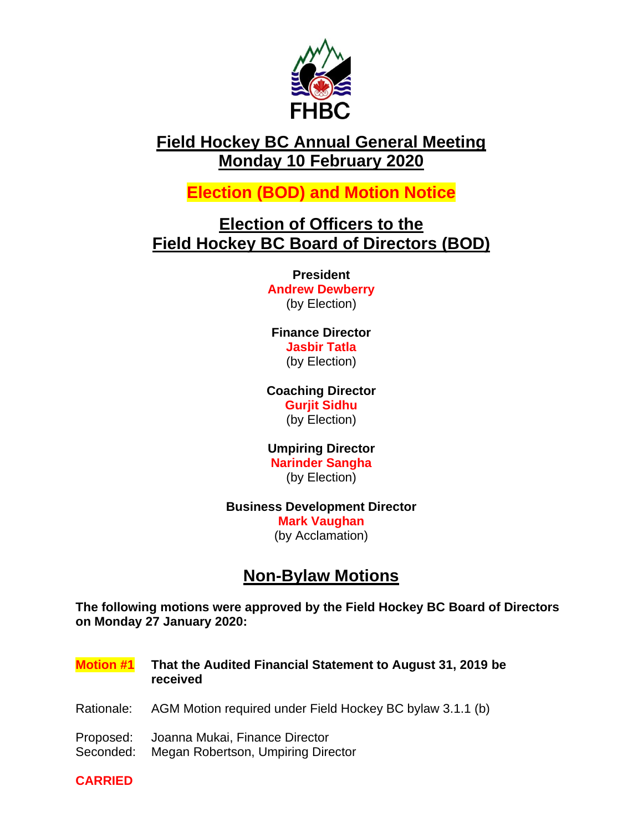

# **Field Hockey BC Annual General Meeting Monday 10 February 2020**

**Election (BOD) and Motion Notice**

# **Election of Officers to the Field Hockey BC Board of Directors (BOD)**

**President Andrew Dewberry** (by Election)

## **Finance Director Jasbir Tatla**  (by Election)

#### **Coaching Director Gurjit Sidhu**

(by Election)

#### **Umpiring Director Narinder Sangha** (by Election)

# **Business Development Director Mark Vaughan**

(by Acclamation)

# **Non-Bylaw Motions**

**The following motions were approved by the Field Hockey BC Board of Directors on Monday 27 January 2020:**

**Motion #1 That the Audited Financial Statement to August 31, 2019 be received** Rationale: AGM Motion required under Field Hockey BC bylaw 3.1.1 (b) Proposed: Joanna Mukai, Finance Director Seconded: Megan Robertson, Umpiring Director

**CARRIED**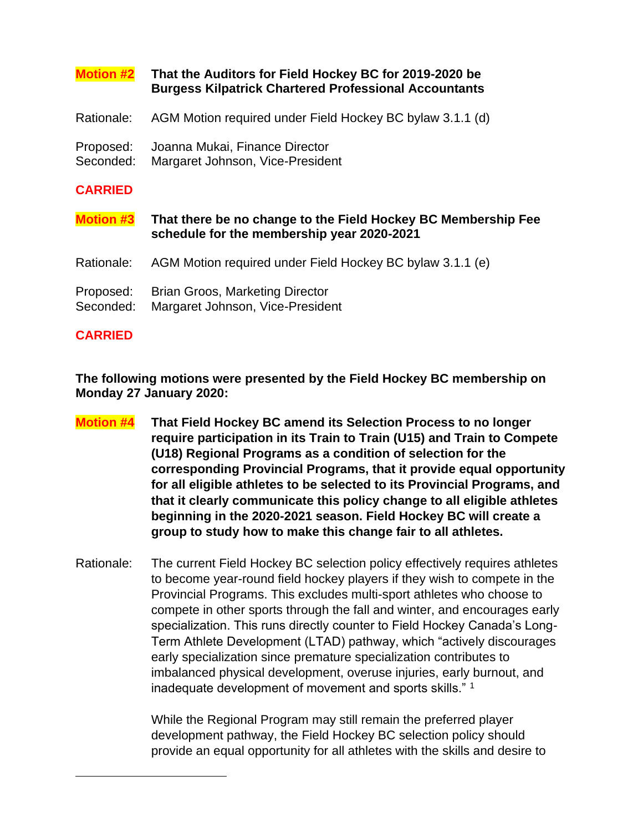#### **Motion #2 That the Auditors for Field Hockey BC for 2019-2020 be Burgess Kilpatrick Chartered Professional Accountants**

- Rationale: AGM Motion required under Field Hockey BC bylaw 3.1.1 (d)
- Proposed: Joanna Mukai, Finance Director
- Seconded: Margaret Johnson, Vice-President

#### **CARRIED**

**Motion #3 That there be no change to the Field Hockey BC Membership Fee schedule for the membership year 2020-2021**

- Rationale: AGM Motion required under Field Hockey BC bylaw 3.1.1 (e)
- Proposed: Brian Groos, Marketing Director
- Seconded: Margaret Johnson, Vice-President

#### **CARRIED**

**The following motions were presented by the Field Hockey BC membership on Monday 27 January 2020:**

- **Motion #4 That Field Hockey BC amend its Selection Process to no longer require participation in its Train to Train (U15) and Train to Compete (U18) Regional Programs as a condition of selection for the corresponding Provincial Programs, that it provide equal opportunity for all eligible athletes to be selected to its Provincial Programs, and that it clearly communicate this policy change to all eligible athletes beginning in the 2020-2021 season. Field Hockey BC will create a group to study how to make this change fair to all athletes.**
- Rationale: The current Field Hockey BC selection policy effectively requires athletes to become year-round field hockey players if they wish to compete in the Provincial Programs. This excludes multi-sport athletes who choose to compete in other sports through the fall and winter, and encourages early specialization. This runs directly counter to Field Hockey Canada's Long-Term Athlete Development (LTAD) pathway, which "actively discourages early specialization since premature specialization contributes to imbalanced physical development, overuse injuries, early burnout, and inadequate development of movement and sports skills."<sup>1</sup>

While the Regional Program may still remain the preferred player development pathway, the Field Hockey BC selection policy should provide an equal opportunity for all athletes with the skills and desire to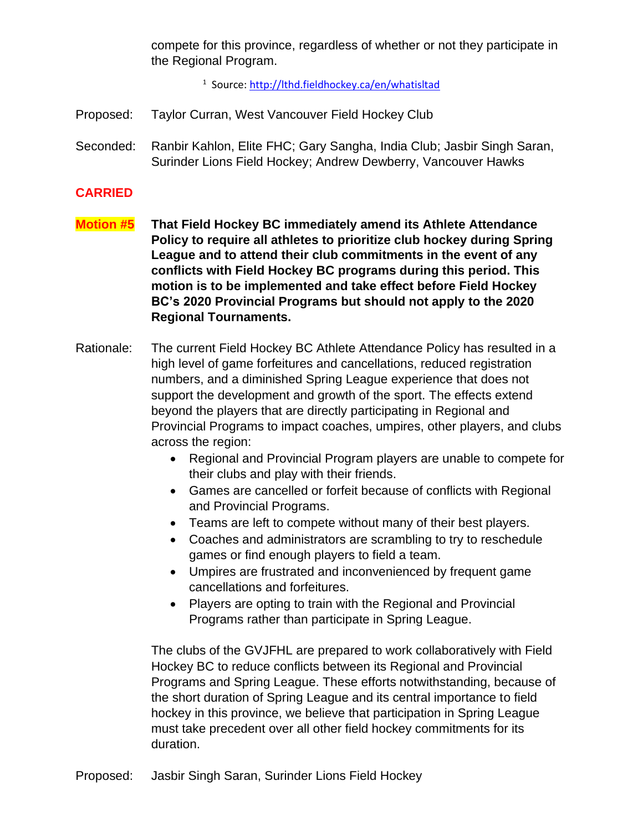compete for this province, regardless of whether or not they participate in the Regional Program.

<sup>1</sup> Source[: http://lthd.fieldhockey.ca/en/whatisltad](http://lthd.fieldhockey.ca/en/whatisltad)

Proposed: Taylor Curran, West Vancouver Field Hockey Club

Seconded: Ranbir Kahlon, Elite FHC; Gary Sangha, India Club; Jasbir Singh Saran, Surinder Lions Field Hockey; Andrew Dewberry, Vancouver Hawks

#### **CARRIED**

- **Motion #5 That Field Hockey BC immediately amend its Athlete Attendance Policy to require all athletes to prioritize club hockey during Spring League and to attend their club commitments in the event of any conflicts with Field Hockey BC programs during this period. This motion is to be implemented and take effect before Field Hockey BC's 2020 Provincial Programs but should not apply to the 2020 Regional Tournaments.**
- Rationale: The current Field Hockey BC Athlete Attendance Policy has resulted in a high level of game forfeitures and cancellations, reduced registration numbers, and a diminished Spring League experience that does not support the development and growth of the sport. The effects extend beyond the players that are directly participating in Regional and Provincial Programs to impact coaches, umpires, other players, and clubs across the region:
	- Regional and Provincial Program players are unable to compete for their clubs and play with their friends.
	- Games are cancelled or forfeit because of conflicts with Regional and Provincial Programs.
	- Teams are left to compete without many of their best players.
	- Coaches and administrators are scrambling to try to reschedule games or find enough players to field a team.
	- Umpires are frustrated and inconvenienced by frequent game cancellations and forfeitures.
	- Players are opting to train with the Regional and Provincial Programs rather than participate in Spring League.

The clubs of the GVJFHL are prepared to work collaboratively with Field Hockey BC to reduce conflicts between its Regional and Provincial Programs and Spring League. These efforts notwithstanding, because of the short duration of Spring League and its central importance to field hockey in this province, we believe that participation in Spring League must take precedent over all other field hockey commitments for its duration.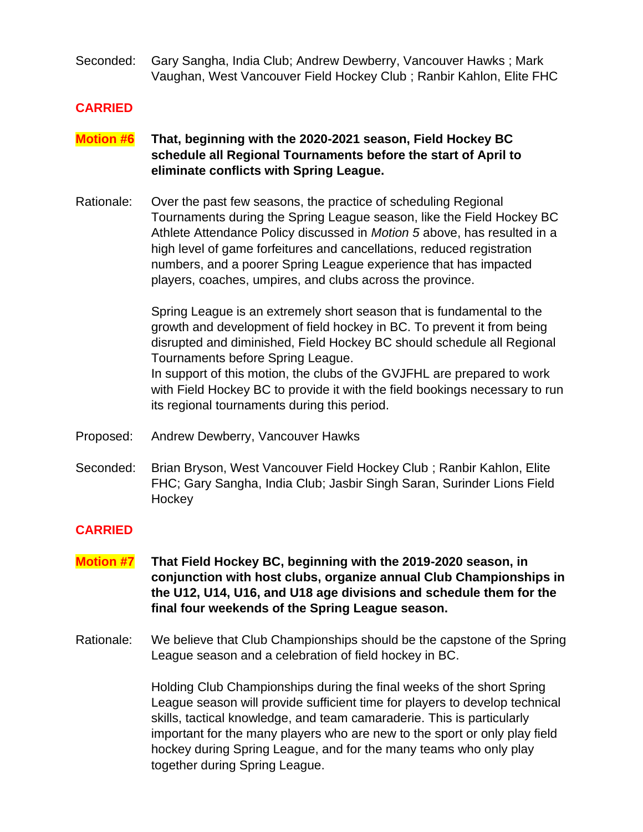Seconded: Gary Sangha, India Club; Andrew Dewberry, Vancouver Hawks ; Mark Vaughan, West Vancouver Field Hockey Club ; Ranbir Kahlon, Elite FHC

#### **CARRIED**

- **Motion #6 That, beginning with the 2020-2021 season, Field Hockey BC schedule all Regional Tournaments before the start of April to eliminate conflicts with Spring League.**
- Rationale: Over the past few seasons, the practice of scheduling Regional Tournaments during the Spring League season, like the Field Hockey BC Athlete Attendance Policy discussed in *Motion 5* above, has resulted in a high level of game forfeitures and cancellations, reduced registration numbers, and a poorer Spring League experience that has impacted players, coaches, umpires, and clubs across the province.

Spring League is an extremely short season that is fundamental to the growth and development of field hockey in BC. To prevent it from being disrupted and diminished, Field Hockey BC should schedule all Regional Tournaments before Spring League. In support of this motion, the clubs of the GVJFHL are prepared to work

with Field Hockey BC to provide it with the field bookings necessary to run its regional tournaments during this period.

- Proposed: Andrew Dewberry, Vancouver Hawks
- Seconded: Brian Bryson, West Vancouver Field Hockey Club ; Ranbir Kahlon, Elite FHC; Gary Sangha, India Club; Jasbir Singh Saran, Surinder Lions Field **Hockey**

### **CARRIED**

- **Motion #7 That Field Hockey BC, beginning with the 2019-2020 season, in conjunction with host clubs, organize annual Club Championships in the U12, U14, U16, and U18 age divisions and schedule them for the final four weekends of the Spring League season.**
- Rationale: We believe that Club Championships should be the capstone of the Spring League season and a celebration of field hockey in BC.

Holding Club Championships during the final weeks of the short Spring League season will provide sufficient time for players to develop technical skills, tactical knowledge, and team camaraderie. This is particularly important for the many players who are new to the sport or only play field hockey during Spring League, and for the many teams who only play together during Spring League.